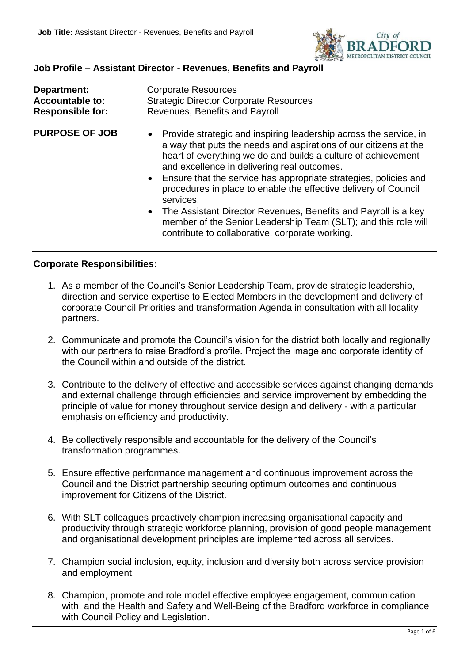

# **Job Profile – Assistant Director - Revenues, Benefits and Payroll**

| Department:             | <b>Corporate Resources</b>                    |
|-------------------------|-----------------------------------------------|
| <b>Accountable to:</b>  | <b>Strategic Director Corporate Resources</b> |
| <b>Responsible for:</b> | Revenues, Benefits and Payroll                |

- **PURPOSE OF JOB** Provide strategic and inspiring leadership across the service, in a way that puts the needs and aspirations of our citizens at the heart of everything we do and builds a culture of achievement and excellence in delivering real outcomes.
	- Ensure that the service has appropriate strategies, policies and procedures in place to enable the effective delivery of Council services.
	- The Assistant Director Revenues, Benefits and Payroll is a key member of the Senior Leadership Team (SLT); and this role will contribute to collaborative, corporate working.

#### **Corporate Responsibilities:**

- 1. As a member of the Council's Senior Leadership Team, provide strategic leadership, direction and service expertise to Elected Members in the development and delivery of corporate Council Priorities and transformation Agenda in consultation with all locality partners.
- 2. Communicate and promote the Council's vision for the district both locally and regionally with our partners to raise Bradford's profile. Project the image and corporate identity of the Council within and outside of the district.
- 3. Contribute to the delivery of effective and accessible services against changing demands and external challenge through efficiencies and service improvement by embedding the principle of value for money throughout service design and delivery - with a particular emphasis on efficiency and productivity.
- 4. Be collectively responsible and accountable for the delivery of the Council's transformation programmes.
- 5. Ensure effective performance management and continuous improvement across the Council and the District partnership securing optimum outcomes and continuous improvement for Citizens of the District.
- 6. With SLT colleagues proactively champion increasing organisational capacity and productivity through strategic workforce planning, provision of good people management and organisational development principles are implemented across all services.
- 7. Champion social inclusion, equity, inclusion and diversity both across service provision and employment.
- 8. Champion, promote and role model effective employee engagement, communication with, and the Health and Safety and Well-Being of the Bradford workforce in compliance with Council Policy and Legislation.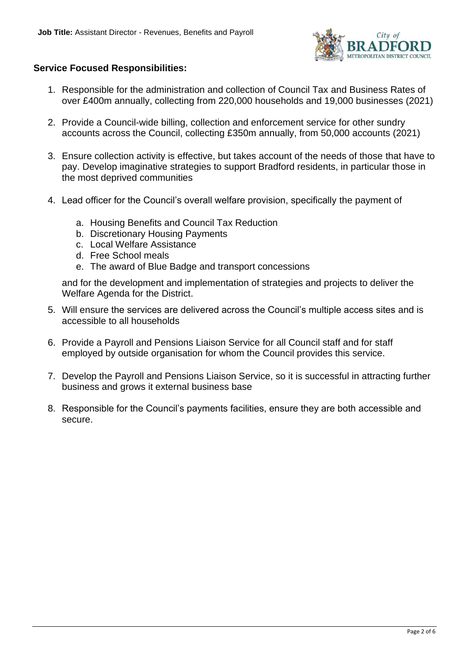

### **Service Focused Responsibilities:**

- 1. Responsible for the administration and collection of Council Tax and Business Rates of over £400m annually, collecting from 220,000 households and 19,000 businesses (2021)
- 2. Provide a Council-wide billing, collection and enforcement service for other sundry accounts across the Council, collecting £350m annually, from 50,000 accounts (2021)
- 3. Ensure collection activity is effective, but takes account of the needs of those that have to pay. Develop imaginative strategies to support Bradford residents, in particular those in the most deprived communities
- 4. Lead officer for the Council's overall welfare provision, specifically the payment of
	- a. Housing Benefits and Council Tax Reduction
	- b. Discretionary Housing Payments
	- c. Local Welfare Assistance
	- d. Free School meals
	- e. The award of Blue Badge and transport concessions

and for the development and implementation of strategies and projects to deliver the Welfare Agenda for the District.

- 5. Will ensure the services are delivered across the Council's multiple access sites and is accessible to all households
- 6. Provide a Payroll and Pensions Liaison Service for all Council staff and for staff employed by outside organisation for whom the Council provides this service.
- 7. Develop the Payroll and Pensions Liaison Service, so it is successful in attracting further business and grows it external business base
- 8. Responsible for the Council's payments facilities, ensure they are both accessible and secure.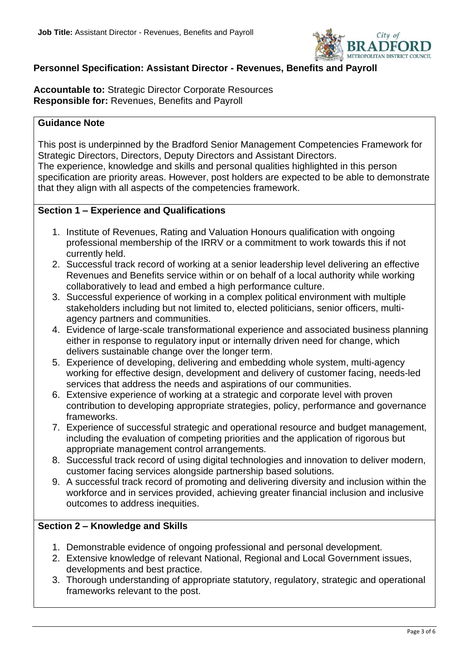

# **Personnel Specification: Assistant Director - Revenues, Benefits and Payroll**

**Accountable to:** Strategic Director Corporate Resources **Responsible for:** Revenues, Benefits and Payroll

#### **Guidance Note**

This post is underpinned by the Bradford Senior Management Competencies Framework for Strategic Directors, Directors, Deputy Directors and Assistant Directors. The experience, knowledge and skills and personal qualities highlighted in this person specification are priority areas. However, post holders are expected to be able to demonstrate that they align with all aspects of the competencies framework.

#### **Section 1 – Experience and Qualifications**

- 1. Institute of Revenues, Rating and Valuation Honours qualification with ongoing professional membership of the IRRV or a commitment to work towards this if not currently held.
- 2. Successful track record of working at a senior leadership level delivering an effective Revenues and Benefits service within or on behalf of a local authority while working collaboratively to lead and embed a high performance culture.
- 3. Successful experience of working in a complex political environment with multiple stakeholders including but not limited to, elected politicians, senior officers, multiagency partners and communities.
- 4. Evidence of large-scale transformational experience and associated business planning either in response to regulatory input or internally driven need for change, which delivers sustainable change over the longer term.
- 5. Experience of developing, delivering and embedding whole system, multi-agency working for effective design, development and delivery of customer facing, needs-led services that address the needs and aspirations of our communities.
- 6. Extensive experience of working at a strategic and corporate level with proven contribution to developing appropriate strategies, policy, performance and governance frameworks.
- 7. Experience of successful strategic and operational resource and budget management, including the evaluation of competing priorities and the application of rigorous but appropriate management control arrangements.
- 8. Successful track record of using digital technologies and innovation to deliver modern, customer facing services alongside partnership based solutions.
- 9. A successful track record of promoting and delivering diversity and inclusion within the workforce and in services provided, achieving greater financial inclusion and inclusive outcomes to address inequities.

# **Section 2 – Knowledge and Skills**

- 1. Demonstrable evidence of ongoing professional and personal development.
- 2. Extensive knowledge of relevant National, Regional and Local Government issues, developments and best practice.
- 3. Thorough understanding of appropriate statutory, regulatory, strategic and operational frameworks relevant to the post.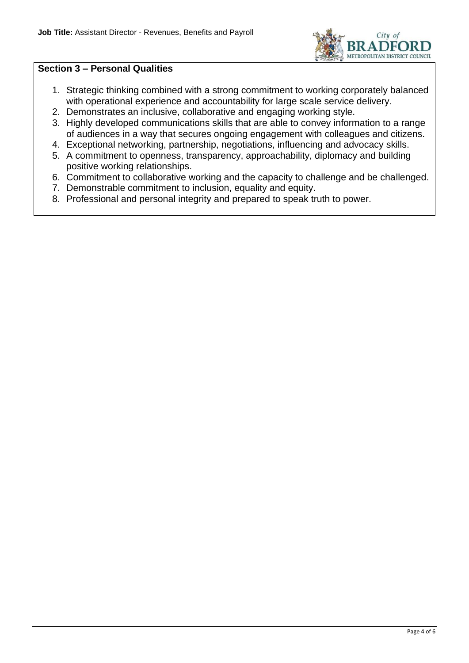

#### **Section 3 – Personal Qualities**

- 1. Strategic thinking combined with a strong commitment to working corporately balanced with operational experience and accountability for large scale service delivery.
- 2. Demonstrates an inclusive, collaborative and engaging working style.
- 3. Highly developed communications skills that are able to convey information to a range of audiences in a way that secures ongoing engagement with colleagues and citizens.
- 4. Exceptional networking, partnership, negotiations, influencing and advocacy skills.
- 5. A commitment to openness, transparency, approachability, diplomacy and building positive working relationships.
- 6. Commitment to collaborative working and the capacity to challenge and be challenged.
- 7. Demonstrable commitment to inclusion, equality and equity.
- 8. Professional and personal integrity and prepared to speak truth to power.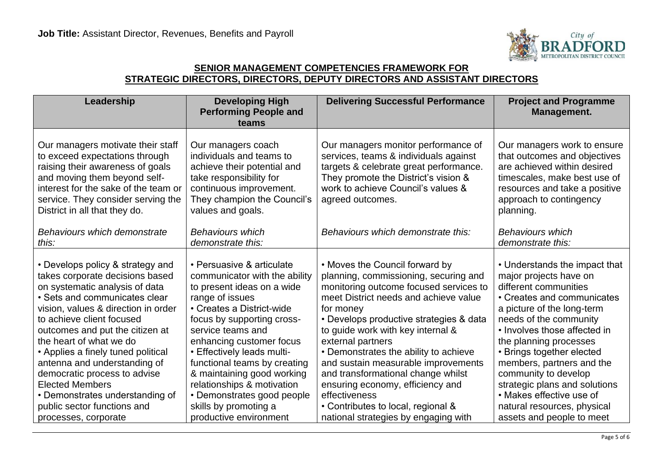

### **SENIOR MANAGEMENT COMPETENCIES FRAMEWORK FOR STRATEGIC DIRECTORS, DIRECTORS, DEPUTY DIRECTORS AND ASSISTANT DIRECTORS**

| Our managers motivate their staff<br>Our managers coach<br>to exceed expectations through<br>individuals and teams to<br>raising their awareness of goals<br>achieve their potential and<br>and moving them beyond self-<br>take responsibility for<br>interest for the sake of the team or<br>continuous improvement.<br>They champion the Council's<br>service. They consider serving the<br>agreed outcomes.<br>District in all that they do.<br>values and goals.                                                                                                                                                                                                                                                                                                                                                                                                                                                                                                           | Our managers monitor performance of<br>services, teams & individuals against<br>targets & celebrate great performance.<br>They promote the District's vision &                                                                                                                                                                                                                                       | Our managers work to ensure<br>that outcomes and objectives<br>are achieved within desired                                                                                                                                                                                                                                                                                                                     |
|---------------------------------------------------------------------------------------------------------------------------------------------------------------------------------------------------------------------------------------------------------------------------------------------------------------------------------------------------------------------------------------------------------------------------------------------------------------------------------------------------------------------------------------------------------------------------------------------------------------------------------------------------------------------------------------------------------------------------------------------------------------------------------------------------------------------------------------------------------------------------------------------------------------------------------------------------------------------------------|------------------------------------------------------------------------------------------------------------------------------------------------------------------------------------------------------------------------------------------------------------------------------------------------------------------------------------------------------------------------------------------------------|----------------------------------------------------------------------------------------------------------------------------------------------------------------------------------------------------------------------------------------------------------------------------------------------------------------------------------------------------------------------------------------------------------------|
|                                                                                                                                                                                                                                                                                                                                                                                                                                                                                                                                                                                                                                                                                                                                                                                                                                                                                                                                                                                 | work to achieve Council's values &                                                                                                                                                                                                                                                                                                                                                                   | timescales, make best use of<br>resources and take a positive<br>approach to contingency<br>planning.                                                                                                                                                                                                                                                                                                          |
| <b>Behaviours which</b><br>Behaviours which demonstrate<br>this:<br>demonstrate this:                                                                                                                                                                                                                                                                                                                                                                                                                                                                                                                                                                                                                                                                                                                                                                                                                                                                                           | Behaviours which demonstrate this:                                                                                                                                                                                                                                                                                                                                                                   | <b>Behaviours which</b><br>demonstrate this:                                                                                                                                                                                                                                                                                                                                                                   |
| • Persuasive & articulate<br>• Develops policy & strategy and<br>takes corporate decisions based<br>communicator with the ability<br>on systematic analysis of data<br>to present ideas on a wide<br>• Sets and communicates clear<br>range of issues<br>• Creates a District-wide<br>vision, values & direction in order<br>for money<br>to achieve client focused<br>focus by supporting cross-<br>outcomes and put the citizen at<br>service teams and<br>the heart of what we do<br>enhancing customer focus<br>external partners<br>• Applies a finely tuned political<br>• Effectively leads multi-<br>antenna and understanding of<br>functional teams by creating<br>& maintaining good working<br>democratic process to advise<br><b>Elected Members</b><br>relationships & motivation<br>• Demonstrates understanding of<br>• Demonstrates good people<br>effectiveness<br>skills by promoting a<br>• Contributes to local, regional &<br>public sector functions and | • Moves the Council forward by<br>planning, commissioning, securing and<br>monitoring outcome focused services to<br>meet District needs and achieve value<br>• Develops productive strategies & data<br>to guide work with key internal &<br>• Demonstrates the ability to achieve<br>and sustain measurable improvements<br>and transformational change whilst<br>ensuring economy, efficiency and | • Understands the impact that<br>major projects have on<br>different communities<br>• Creates and communicates<br>a picture of the long-term<br>needs of the community<br>• Involves those affected in<br>the planning processes<br>• Brings together elected<br>members, partners and the<br>community to develop<br>strategic plans and solutions<br>• Makes effective use of<br>natural resources, physical |